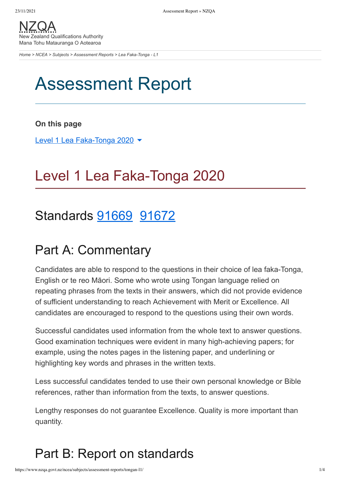New Zealand Qualifications Authority Mana Tohu Matauranga O Aotearoa

Home > NCEA > Subjects > Assessment Reports > Lea Faka-Tonga - L1

# **Assessment Report**

### On this page

Level 1 Lea Faka-Tonga 2020 ▼

## Level 1 Lea Faka-Tonga 2020

## Standards 91669 91672

## **Part A: Commentary**

Candidates are able to respond to the questions in their choice of lea faka-Tonga, English or te reo Māori. Some who wrote using Tongan language relied on repeating phrases from the texts in their answers, which did not provide evidence of sufficient understanding to reach Achievement with Merit or Excellence. All candidates are encouraged to respond to the questions using their own words.

Successful candidates used information from the whole text to answer questions. Good examination techniques were evident in many high-achieving papers: for example, using the notes pages in the listening paper, and underlining or highlighting key words and phrases in the written texts.

Less successful candidates tended to use their own personal knowledge or Bible references, rather than information from the texts, to answer questions.

Lengthy responses do not guarantee Excellence. Quality is more important than quantity.

## Part B: Report on standards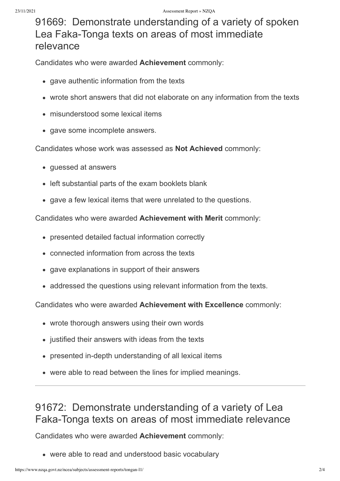### 91669: Demonstrate understanding of a variety of spoken Lea Faka-Tonga texts on areas of most immediate relevance

Candidates who were awarded Achievement commonly:

- gave authentic information from the texts
- wrote short answers that did not elaborate on any information from the texts
- · misunderstood some lexical items
- gave some incomplete answers.

Candidates whose work was assessed as Not Achieved commonly:

- guessed at answers
- left substantial parts of the exam booklets blank
- gave a few lexical items that were unrelated to the questions.

Candidates who were awarded Achievement with Merit commonly:

- presented detailed factual information correctly
- connected information from across the texts
- gave explanations in support of their answers
- addressed the questions using relevant information from the texts.

Candidates who were awarded Achievement with Excellence commonly:

- wrote thorough answers using their own words
- justified their answers with ideas from the texts
- presented in-depth understanding of all lexical items
- were able to read between the lines for implied meanings.

## 91672: Demonstrate understanding of a variety of Lea Faka-Tonga texts on areas of most immediate relevance

Candidates who were awarded Achievement commonly:

• were able to read and understood basic vocabulary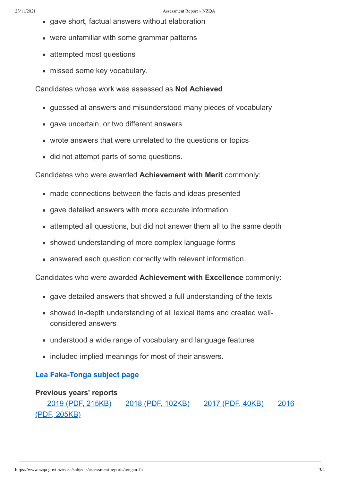- gave short, factual answers without elaboration
- were unfamiliar with some grammar patterns
- attempted most questions
- missed some key vocabulary.

#### Candidates whose work was assessed as Not Achieved

- guessed at answers and misunderstood many pieces of vocabulary
- gave uncertain, or two different answers
- wrote answers that were unrelated to the questions or topics
- did not attempt parts of some questions.

### Candidates who were awarded Achievement with Merit commonly:

- made connections between the facts and ideas presented
- gave detailed answers with more accurate information
- attempted all questions, but did not answer them all to the same depth
- showed understanding of more complex language forms
- answered each question correctly with relevant information.

Candidates who were awarded Achievement with Excellence commonly:

- gave detailed answers that showed a full understanding of the texts
- showed in-depth understanding of all lexical items and created wellconsidered answers
- understood a wide range of vocabulary and language features
- included implied meanings for most of their answers.

### Lea Faka-Tonga subject page

### **Previous years' reports**

2019 (PDF, 215KB) 2018 (PDF, 102KB) 2017 (PDF, 40KB) 2016 <u>(PDF, 205KB)</u>